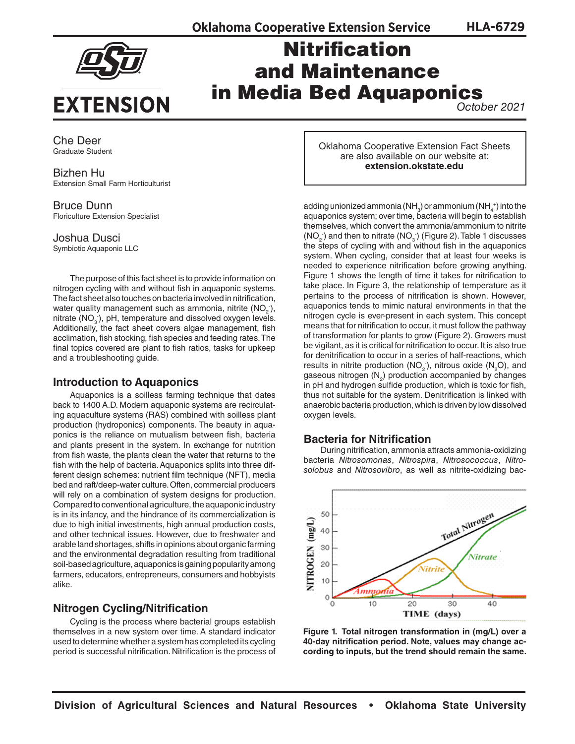**HLA-6729**



# Nitrification and Maintenance in Media Bed Aquaponics

*October 2021*

Che Deer Graduate Student

Bizhen Hu Extension Small Farm Horticulturist

Bruce Dunn Floriculture Extension Specialist

Joshua Dusci Symbiotic Aquaponic LLC

The purpose of this fact sheet is to provide information on nitrogen cycling with and without fish in aquaponic systems. The fact sheet also touches on bacteria involved in nitrification, water quality management such as ammonia, nitrite (NO<sub>2</sub><sup>-</sup>), nitrate  $(NO<sub>3</sub>)$ , pH, temperature and dissolved oxygen levels. Additionally, the fact sheet covers algae management, fish acclimation, fish stocking, fish species and feeding rates. The final topics covered are plant to fish ratios, tasks for upkeep and a troubleshooting guide.

# **Introduction to Aquaponics**

Aquaponics is a soilless farming technique that dates back to 1400 A.D. Modern aquaponic systems are recirculating aquaculture systems (RAS) combined with soilless plant production (hydroponics) components. The beauty in aquaponics is the reliance on mutualism between fish, bacteria and plants present in the system. In exchange for nutrition from fish waste, the plants clean the water that returns to the fish with the help of bacteria. Aquaponics splits into three different design schemes: nutrient film technique (NFT), media bed and raft/deep-water culture. Often, commercial producers will rely on a combination of system designs for production. Compared to conventional agriculture, the aquaponic industry is in its infancy, and the hindrance of its commercialization is due to high initial investments, high annual production costs, and other technical issues. However, due to freshwater and arable land shortages, shifts in opinions about organic farming and the environmental degradation resulting from traditional soil-based agriculture, aquaponics is gaining popularity among farmers, educators, entrepreneurs, consumers and hobbyists alike.

# **Nitrogen Cycling/Nitrification**

Cycling is the process where bacterial groups establish themselves in a new system over time. A standard indicator used to determine whether a system has completed its cycling period is successful nitrification. Nitrification is the process of Oklahoma Cooperative Extension Fact Sheets are also available on our website at: **[extension.okstate.edu](http://extension.okstate.edu)**

adding unionized ammonia (NH $_{\rm 3}$ ) or ammonium (NH $_{\rm 4}^{\rm +}$ ) into the aquaponics system; over time, bacteria will begin to establish themselves, which convert the ammonia/ammonium to nitrite  $(NO<sub>2</sub>)$  and then to nitrate  $(NO<sub>3</sub>)$  (Figure 2). Table 1 discusses the steps of cycling with and without fish in the aquaponics system. When cycling, consider that at least four weeks is needed to experience nitrification before growing anything. Figure 1 shows the length of time it takes for nitrification to take place. In Figure 3, the relationship of temperature as it pertains to the process of nitrification is shown. However, aquaponics tends to mimic natural environments in that the nitrogen cycle is ever-present in each system. This concept means that for nitrification to occur, it must follow the pathway of transformation for plants to grow (Figure 2). Growers must be vigilant, as it is critical for nitrification to occur. It is also true for denitrification to occur in a series of half-reactions, which results in nitrite production (NO<sub>2</sub>), nitrous oxide (N<sub>2</sub>O), and gaseous nitrogen  $(N_2)$  production accompanied by changes in pH and hydrogen sulfide production, which is toxic for fish, thus not suitable for the system. Denitrification is linked with anaerobic bacteria production, which is driven by low dissolved oxygen levels.

# **Bacteria for Nitrification**

During nitrification, ammonia attracts ammonia-oxidizing bacteria *Nitrosomonas*, *Nitrospira*, *Nitrosococcus*, *Nitrosolobus* and *Nitrosovibro*, as well as nitrite-oxidizing bac-



**Figure 1. Total nitrogen transformation in (mg/L) over a 40-day nitrification period. Note, values may change according to inputs, but the trend should remain the same.**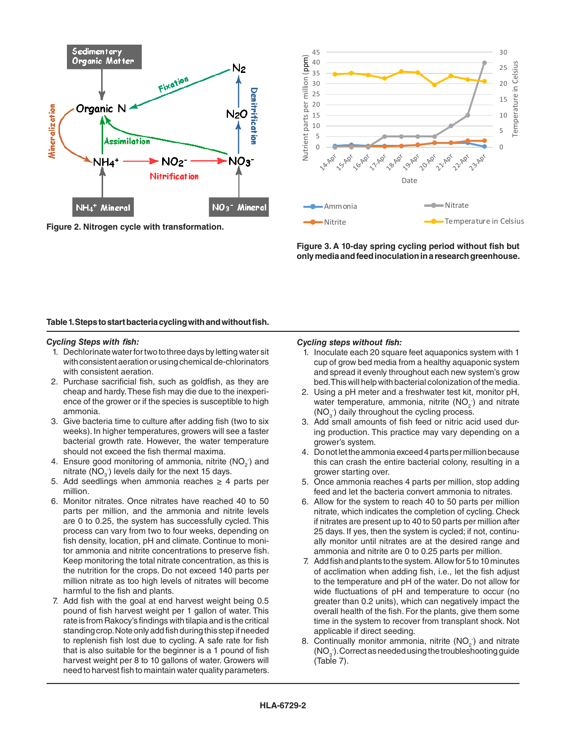

**Figure 2. Nitrogen cycle with transformation.** 0 15



Figure 3. A 10-day spring cycling period without fish but<br>
only media and feed inoculation in a research greenhouse only media and feed inoculation in a research greenhouse.

## **Table 1. Steps to start bacteria cycling with and without fish.**

#### *Cycling Steps with fish:*

- 1. Dechlorinate water for two to three days by letting water sit with consistent aeration or using chemical de-chlorinators with consistent aeration.
- 2. Purchase sacrificial fish, such as goldfish, as they are cheap and hardy. These fish may die due to the inexperience of the grower or if the species is susceptible to high ammonia.
- 3. Give bacteria time to culture after adding fish (two to six weeks). In higher temperatures, growers will see a faster bacterial growth rate. However, the water temperature should not exceed the fish thermal maxima.
- 4. Ensure good monitoring of ammonia, nitrite (NO<sub>2</sub>) and nitrate  $(NO<sub>3</sub>)$  levels daily for the next 15 days.
- 5. Add seedlings when ammonia reaches  $\geq$  4 parts per million.
- 6. Monitor nitrates. Once nitrates have reached 40 to 50 parts per million, and the ammonia and nitrite levels are 0 to 0.25, the system has successfully cycled. This process can vary from two to four weeks, depending on fish density, location, pH and climate. Continue to monitor ammonia and nitrite concentrations to preserve fish. Keep monitoring the total nitrate concentration, as this is the nutrition for the crops. Do not exceed 140 parts per million nitrate as too high levels of nitrates will become harmful to the fish and plants.
- 7. Add fish with the goal at end harvest weight being 0.5 pound of fish harvest weight per 1 gallon of water. This rate is from Rakocy's findings with tilapia and is the critical standing crop. Note only add fish during this step if needed to replenish fish lost due to cycling. A safe rate for fish that is also suitable for the beginner is a 1 pound of fish harvest weight per 8 to 10 gallons of water. Growers will need to harvest fish to maintain water quality parameters.

#### *Cycling steps without fish:*

- 1. Inoculate each 20 square feet aquaponics system with 1 cup of grow bed media from a healthy aquaponic system and spread it evenly throughout each new system's grow bed. This will help with bacterial colonization of the media.
- 2. Using a pH meter and a freshwater test kit, monitor pH, water temperature, ammonia, nitrite  $(NO<sub>2</sub>)$  and nitrate  $(NO<sub>3</sub>)$  daily throughout the cycling process.
- Add small amounts of fish feed or nitric acid used during production. This practice may vary depending on a grower's system.
- 4. Do not let the ammonia exceed 4 parts per million because this can crash the entire bacterial colony, resulting in a grower starting over.
- 5. Once ammonia reaches 4 parts per million, stop adding feed and let the bacteria convert ammonia to nitrates.
- 6. Allow for the system to reach 40 to 50 parts per million nitrate, which indicates the completion of cycling. Check if nitrates are present up to 40 to 50 parts per million after 25 days. If yes, then the system is cycled; if not, continually monitor until nitrates are at the desired range and ammonia and nitrite are 0 to 0.25 parts per million.
- 7. Add fish and plants to the system. Allow for 5 to 10 minutes of acclimation when adding fish, i.e., let the fish adjust to the temperature and pH of the water. Do not allow for wide fluctuations of pH and temperature to occur (no greater than 0.2 units), which can negatively impact the overall health of the fish. For the plants, give them some time in the system to recover from transplant shock. Not applicable if direct seeding.
- 8. Continually monitor ammonia, nitrite  $(NO<sub>2</sub>)$  and nitrate  $(NO<sub>3</sub>)$ . Correct as needed using the troubleshooting guide (Table 7).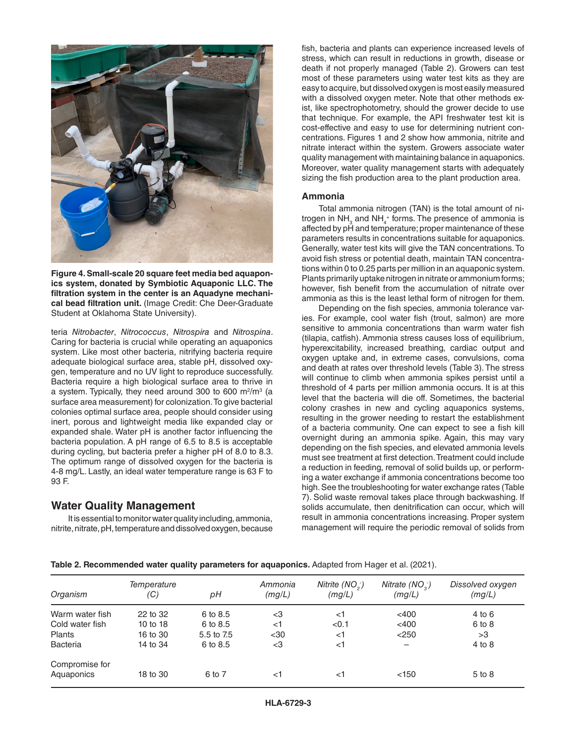

**Figure 4. Small-scale 20 square feet media bed aquaponics system, donated by Symbiotic Aquaponic LLC. The filtration system in the center is an Aquadyne mechanical bead filtration unit.** (Image Credit: Che Deer-Graduate Student at Oklahoma State University).

teria *Nitrobacter*, *Nitrococcus*, *Nitrospira* and *Nitrospina*. Caring for bacteria is crucial while operating an aquaponics system. Like most other bacteria, nitrifying bacteria require adequate biological surface area, stable pH, dissolved oxygen, temperature and no UV light to reproduce successfully. Bacteria require a high biological surface area to thrive in a system. Typically, they need around 300 to 600 m $^{2}/$ m $^{3}$  (a surface area measurement) for colonization. To give bacterial colonies optimal surface area, people should consider using inert, porous and lightweight media like expanded clay or expanded shale. Water pH is another factor influencing the bacteria population. A pH range of 6.5 to 8.5 is acceptable during cycling, but bacteria prefer a higher pH of 8.0 to 8.3. The optimum range of dissolved oxygen for the bacteria is 4-8 mg/L. Lastly, an ideal water temperature range is 63 F to 93 F.

# **Water Quality Management**

It is essential to monitor water quality including, ammonia, nitrite, nitrate, pH, temperature and dissolved oxygen, because fish, bacteria and plants can experience increased levels of stress, which can result in reductions in growth, disease or death if not properly managed (Table 2). Growers can test most of these parameters using water test kits as they are easy to acquire, but dissolved oxygen is most easily measured with a dissolved oxygen meter. Note that other methods exist, like spectrophotometry, should the grower decide to use that technique. For example, the API freshwater test kit is cost-effective and easy to use for determining nutrient concentrations. Figures 1 and 2 show how ammonia, nitrite and nitrate interact within the system. Growers associate water quality management with maintaining balance in aquaponics. Moreover, water quality management starts with adequately sizing the fish production area to the plant production area.

## **Ammonia**

Total ammonia nitrogen (TAN) is the total amount of nitrogen in NH $_3$  and NH $_4^{\ast}$  forms. The presence of ammonia is affected by pH and temperature; proper maintenance of these parameters results in concentrations suitable for aquaponics. Generally, water test kits will give the TAN concentrations. To avoid fish stress or potential death, maintain TAN concentrations within 0 to 0.25 parts per million in an aquaponic system. Plants primarily uptake nitrogen in nitrate or ammonium forms; however, fish benefit from the accumulation of nitrate over ammonia as this is the least lethal form of nitrogen for them.

Depending on the fish species, ammonia tolerance varies. For example, cool water fish (trout, salmon) are more sensitive to ammonia concentrations than warm water fish (tilapia, catfish). Ammonia stress causes loss of equilibrium, hyperexcitability, increased breathing, cardiac output and oxygen uptake and, in extreme cases, convulsions, coma and death at rates over threshold levels (Table 3). The stress will continue to climb when ammonia spikes persist until a threshold of 4 parts per million ammonia occurs. It is at this level that the bacteria will die off. Sometimes, the bacterial colony crashes in new and cycling aquaponics systems, resulting in the grower needing to restart the establishment of a bacteria community. One can expect to see a fish kill overnight during an ammonia spike. Again, this may vary depending on the fish species, and elevated ammonia levels must see treatment at first detection. Treatment could include a reduction in feeding, removal of solid builds up, or performing a water exchange if ammonia concentrations become too high. See the troubleshooting for water exchange rates (Table 7). Solid waste removal takes place through backwashing. If solids accumulate, then denitrification can occur, which will result in ammonia concentrations increasing. Proper system management will require the periodic removal of solids from

**Table 2. Recommended water quality parameters for aquaponics.** Adapted from Hager et al. (2021).

| Organism        | Temperature<br>(C) | pН         | Ammonia<br>(mg/L) | Nitrite $(NO2)$<br>(mg/L) | Nitrate $(NO3)$<br>(mg/L) | Dissolved oxygen<br>(mg/L) |
|-----------------|--------------------|------------|-------------------|---------------------------|---------------------------|----------------------------|
| Warm water fish | 22 to 32           | 6 to 8.5   | $<$ 3             | $<$ 1                     | $<$ 400                   | $4$ to 6                   |
| Cold water fish | 10 to 18           | 6 to 8.5   | $<$ 1             | < 0.1                     | $<$ 400                   | 6 to 8                     |
| <b>Plants</b>   | 16 to 30           | 5.5 to 7.5 | $30$              | $<$ 1                     | $<$ 250                   | >3                         |
| <b>Bacteria</b> | 14 to 34           | 6 to 8.5   | <3                | $<$ 1                     |                           | $4$ to $8$                 |
| Compromise for  |                    |            |                   |                           |                           |                            |
| Aquaponics      | 18 to 30           | 6 to 7     | <1                | <1                        | < 150                     | 5 to 8                     |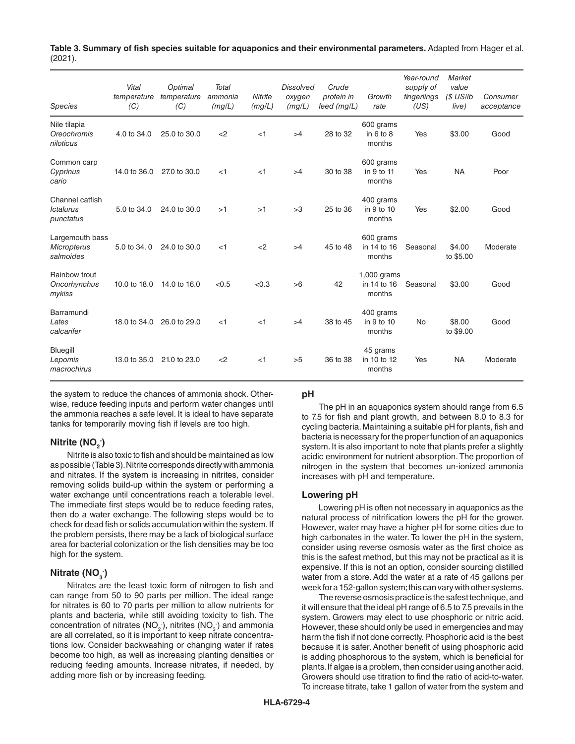| Table 3. Summary of fish species suitable for aquaponics and their environmental parameters. Adapted from Hager et al. |  |
|------------------------------------------------------------------------------------------------------------------------|--|
| (2021).                                                                                                                |  |

| <b>Species</b>                                     | Vital<br>temperature<br>(C) | Optimal<br>temperature<br>(C) | <b>Total</b><br>ammonia<br>(mg/L) | <b>Nitrite</b><br>(mg/L) | <b>Dissolved</b><br>oxygen<br>(mg/L) | Crude<br>protein in<br>feed (mg/L) | Growth<br>rate                         | Year-round<br>supply of<br>fingerlings<br>(US) | <b>Market</b><br>value<br>$(S$ US/Ib<br>live) | Consumer<br>acceptance |
|----------------------------------------------------|-----------------------------|-------------------------------|-----------------------------------|--------------------------|--------------------------------------|------------------------------------|----------------------------------------|------------------------------------------------|-----------------------------------------------|------------------------|
| Nile tilapia<br>Oreochromis<br>niloticus           | 4.0 to 34.0                 | 25.0 to 30.0                  | $<$ 2                             | $<$ 1                    | >4                                   | 28 to 32                           | 600 grams<br>in $6$ to $8$<br>months   | Yes                                            | \$3.00                                        | Good                   |
| Common carp<br>Cyprinus<br>cario                   | 14.0 to 36.0                | 27.0 to 30.0                  | $<$ 1                             | $<$ 1                    | >4                                   | 30 to 38                           | 600 grams<br>in 9 to 11<br>months      | Yes                                            | <b>NA</b>                                     | Poor                   |
| Channel catfish<br><b>Ictalurus</b><br>punctatus   | 5.0 to 34.0                 | 24.0 to 30.0                  | >1                                | >1                       | >3                                   | 25 to 36                           | 400 grams<br>in 9 to 10<br>months      | Yes                                            | \$2.00                                        | Good                   |
| Largemouth bass<br><b>Micropterus</b><br>salmoides | 5.0 to 34.0                 | 24.0 to 30.0                  | $<$ 1                             | <                        | >4                                   | 45 to 48                           | 600 grams<br>in 14 to 16<br>months     | Seasonal                                       | \$4.00<br>to \$5.00                           | Moderate               |
| Rainbow trout<br>Oncorhynchus<br>mykiss            | 10.0 to 18.0                | 14.0 to 16.0                  | < 0.5                             | < 0.3                    | >6                                   | 42                                 | $1,000$ grams<br>in 14 to 16<br>months | Seasonal                                       | \$3.00                                        | Good                   |
| Barramundi<br>Lates<br>calcarifer                  | 18.0 to 34.0                | 26.0 to 29.0                  | $<$ 1                             | $<$ 1                    | >4                                   | 38 to 45                           | 400 grams<br>in 9 to 10<br>months      | <b>No</b>                                      | \$8.00<br>to \$9.00                           | Good                   |
| Bluegill<br>Lepomis<br>macrochirus                 | 13.0 to 35.0                | 21.0 to 23.0                  | <                                 | $<$ 1                    | >5                                   | 36 to 38                           | 45 grams<br>in 10 to 12<br>months      | Yes                                            | <b>NA</b>                                     | Moderate               |

the system to reduce the chances of ammonia shock. Otherwise, reduce feeding inputs and perform water changes until the ammonia reaches a safe level. It is ideal to have separate tanks for temporarily moving fish if levels are too high.

# **Nitrite (NO<sub>2</sub><sup>-</sup>)</del>**

Nitrite is also toxic to fish and should be maintained as low as possible (Table 3). Nitrite corresponds directly with ammonia and nitrates. If the system is increasing in nitrites, consider removing solids build-up within the system or performing a water exchange until concentrations reach a tolerable level. The immediate first steps would be to reduce feeding rates, then do a water exchange. The following steps would be to check for dead fish or solids accumulation within the system. If the problem persists, there may be a lack of biological surface area for bacterial colonization or the fish densities may be too high for the system.

# **Nitrate (NO<sub>3</sub><sup>-</sup>)</del>**

Nitrates are the least toxic form of nitrogen to fish and can range from 50 to 90 parts per million. The ideal range for nitrates is 60 to 70 parts per million to allow nutrients for plants and bacteria, while still avoiding toxicity to fish. The concentration of nitrates ( $NO<sub>2</sub>$ ), nitrites ( $NO<sub>3</sub>$ ) and ammonia are all correlated, so it is important to keep nitrate concentrations low. Consider backwashing or changing water if rates become too high, as well as increasing planting densities or reducing feeding amounts. Increase nitrates, if needed, by adding more fish or by increasing feeding.

## **pH**

The pH in an aquaponics system should range from 6.5 to 7.5 for fish and plant growth, and between 8.0 to 8.3 for cycling bacteria. Maintaining a suitable pH for plants, fish and bacteria is necessary for the proper function of an aquaponics system. It is also important to note that plants prefer a slightly acidic environment for nutrient absorption. The proportion of nitrogen in the system that becomes un-ionized ammonia increases with pH and temperature.

## **Lowering pH**

Lowering pH is often not necessary in aquaponics as the natural process of nitrification lowers the pH for the grower. However, water may have a higher pH for some cities due to high carbonates in the water. To lower the pH in the system, consider using reverse osmosis water as the first choice as this is the safest method, but this may not be practical as it is expensive. If this is not an option, consider sourcing distilled water from a store. Add the water at a rate of 45 gallons per week for a 152-gallon system; this can vary with other systems.

The reverse osmosis practice is the safest technique, and it will ensure that the ideal pH range of 6.5 to 7.5 prevails in the system. Growers may elect to use phosphoric or nitric acid. However, these should only be used in emergencies and may harm the fish if not done correctly. Phosphoric acid is the best because it is safer. Another benefit of using phosphoric acid is adding phosphorous to the system, which is beneficial for plants. If algae is a problem, then consider using another acid. Growers should use titration to find the ratio of acid-to-water. To increase titrate, take 1 gallon of water from the system and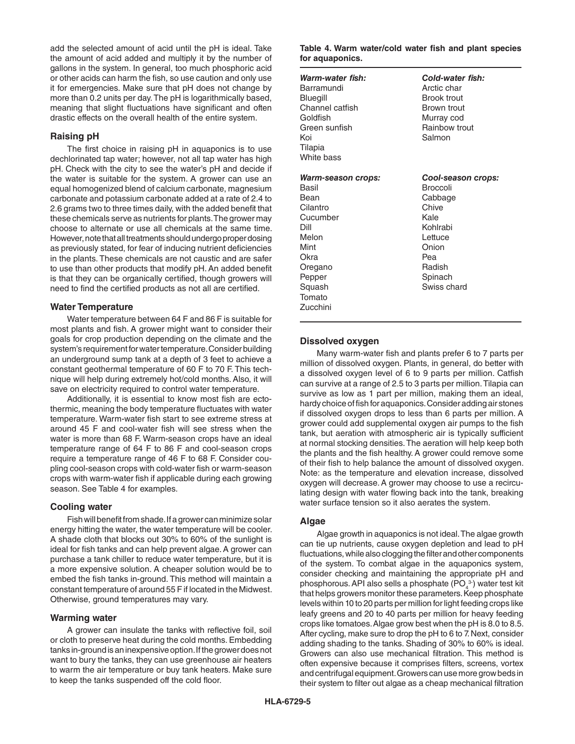add the selected amount of acid until the pH is ideal. Take the amount of acid added and multiply it by the number of gallons in the system. In general, too much phosphoric acid or other acids can harm the fish, so use caution and only use it for emergencies. Make sure that pH does not change by more than 0.2 units per day. The pH is logarithmically based, meaning that slight fluctuations have significant and often drastic effects on the overall health of the entire system.

# **Raising pH**

The first choice in raising pH in aquaponics is to use dechlorinated tap water; however, not all tap water has high pH. Check with the city to see the water's pH and decide if the water is suitable for the system. A grower can use an equal homogenized blend of calcium carbonate, magnesium carbonate and potassium carbonate added at a rate of 2.4 to 2.6 grams two to three times daily, with the added benefit that these chemicals serve as nutrients for plants. The grower may choose to alternate or use all chemicals at the same time. However, note that all treatments should undergo proper dosing as previously stated, for fear of inducing nutrient deficiencies in the plants. These chemicals are not caustic and are safer to use than other products that modify pH. An added benefit is that they can be organically certified, though growers will need to find the certified products as not all are certified.

## **Water Temperature**

Water temperature between 64 F and 86 F is suitable for most plants and fish. A grower might want to consider their goals for crop production depending on the climate and the system's requirement for water temperature. Consider building an underground sump tank at a depth of 3 feet to achieve a constant geothermal temperature of 60 F to 70 F. This technique will help during extremely hot/cold months. Also, it will save on electricity required to control water temperature.

Additionally, it is essential to know most fish are ectothermic, meaning the body temperature fluctuates with water temperature. Warm-water fish start to see extreme stress at around 45 F and cool-water fish will see stress when the water is more than 68 F. Warm-season crops have an ideal temperature range of 64 F to 86 F and cool-season crops require a temperature range of 46 F to 68 F. Consider coupling cool-season crops with cold-water fish or warm-season crops with warm-water fish if applicable during each growing season. See Table 4 for examples.

# **Cooling water**

Fish will benefit from shade. If a grower can minimize solar energy hitting the water, the water temperature will be cooler. A shade cloth that blocks out 30% to 60% of the sunlight is ideal for fish tanks and can help prevent algae. A grower can purchase a tank chiller to reduce water temperature, but it is a more expensive solution. A cheaper solution would be to embed the fish tanks in-ground. This method will maintain a constant temperature of around 55 F if located in the Midwest. Otherwise, ground temperatures may vary.

## **Warming water**

A grower can insulate the tanks with reflective foil, soil or cloth to preserve heat during the cold months. Embedding tanks in-ground is an inexpensive option. If the grower does not want to bury the tanks, they can use greenhouse air heaters to warm the air temperature or buy tank heaters. Make sure to keep the tanks suspended off the cold floor.

#### **Table 4. Warm water/cold water fish and plant species for aquaponics.**

| Warm-water fish:<br>Barramundi<br>Bluegill<br>Channel catfish<br>Goldfish<br>Green sunfish<br>Koi<br>Tilapia<br>White bass                               | Cold-water fish:<br>Arctic char<br><b>Brook trout</b><br>Brown trout<br>Murray cod<br>Rainbow trout<br>Salmon                                |
|----------------------------------------------------------------------------------------------------------------------------------------------------------|----------------------------------------------------------------------------------------------------------------------------------------------|
| <b>Warm-season crops:</b><br>Basil<br>Bean<br>Cilantro<br>Cucumber<br>Dill<br>Melon<br>Mint<br>Okra<br>Oregano<br>Pepper<br>Squash<br>Tomato<br>Zucchini | Cool-season crops:<br><b>Broccoli</b><br>Cabbage<br>Chive<br>Kale<br>Kohlrabi<br>Lettuce<br>Onion<br>Pea<br>Radish<br>Spinach<br>Swiss chard |

# **Dissolved oxygen**

Many warm-water fish and plants prefer 6 to 7 parts per million of dissolved oxygen. Plants, in general, do better with a dissolved oxygen level of 6 to 9 parts per million. Catfish can survive at a range of 2.5 to 3 parts per million. Tilapia can survive as low as 1 part per million, making them an ideal, hardy choice of fish for aquaponics. Consider adding air stones if dissolved oxygen drops to less than 6 parts per million. A grower could add supplemental oxygen air pumps to the fish tank, but aeration with atmospheric air is typically sufficient at normal stocking densities. The aeration will help keep both the plants and the fish healthy. A grower could remove some of their fish to help balance the amount of dissolved oxygen. Note: as the temperature and elevation increase, dissolved oxygen will decrease. A grower may choose to use a recirculating design with water flowing back into the tank, breaking water surface tension so it also aerates the system.

## **Algae**

Algae growth in aquaponics is not ideal. The algae growth can tie up nutrients, cause oxygen depletion and lead to pH fluctuations, while also clogging the filter and other components of the system. To combat algae in the aquaponics system, consider checking and maintaining the appropriate pH and phosphorous. API also sells a phosphate  $(\mathsf{PO}_4^{3\text{-}})$  water test kit that helps growers monitor these parameters. Keep phosphate levels within 10 to 20 parts per million for light feeding crops like leafy greens and 20 to 40 parts per million for heavy feeding crops like tomatoes. Algae grow best when the pH is 8.0 to 8.5. After cycling, make sure to drop the pH to 6 to 7. Next, consider adding shading to the tanks. Shading of 30% to 60% is ideal. Growers can also use mechanical filtration. This method is often expensive because it comprises filters, screens, vortex and centrifugal equipment. Growers can use more grow beds in their system to filter out algae as a cheap mechanical filtration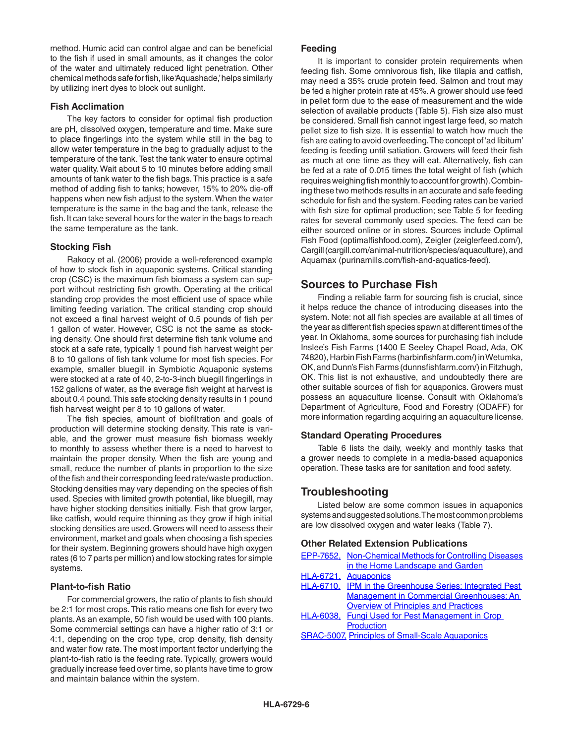method. Humic acid can control algae and can be beneficial to the fish if used in small amounts, as it changes the color of the water and ultimately reduced light penetration. Other chemical methods safe for fish, like 'Aquashade,' helps similarly by utilizing inert dyes to block out sunlight.

# **Fish Acclimation**

The key factors to consider for optimal fish production are pH, dissolved oxygen, temperature and time. Make sure to place fingerlings into the system while still in the bag to allow water temperature in the bag to gradually adjust to the temperature of the tank. Test the tank water to ensure optimal water quality. Wait about 5 to 10 minutes before adding small amounts of tank water to the fish bags. This practice is a safe method of adding fish to tanks; however, 15% to 20% die-off happens when new fish adjust to the system. When the water temperature is the same in the bag and the tank, release the fish. It can take several hours for the water in the bags to reach the same temperature as the tank.

# **Stocking Fish**

Rakocy et al. (2006) provide a well-referenced example of how to stock fish in aquaponic systems. Critical standing crop (CSC) is the maximum fish biomass a system can support without restricting fish growth. Operating at the critical standing crop provides the most efficient use of space while limiting feeding variation. The critical standing crop should not exceed a final harvest weight of 0.5 pounds of fish per 1 gallon of water. However, CSC is not the same as stocking density. One should first determine fish tank volume and stock at a safe rate, typically 1 pound fish harvest weight per 8 to 10 gallons of fish tank volume for most fish species. For example, smaller bluegill in Symbiotic Aquaponic systems were stocked at a rate of 40, 2-to-3-inch bluegill fingerlings in 152 gallons of water, as the average fish weight at harvest is about 0.4 pound. This safe stocking density results in 1 pound fish harvest weight per 8 to 10 gallons of water.

The fish species, amount of biofiltration and goals of production will determine stocking density. This rate is variable, and the grower must measure fish biomass weekly to monthly to assess whether there is a need to harvest to maintain the proper density. When the fish are young and small, reduce the number of plants in proportion to the size of the fish and their corresponding feed rate/waste production. Stocking densities may vary depending on the species of fish used. Species with limited growth potential, like bluegill, may have higher stocking densities initially. Fish that grow larger, like catfish, would require thinning as they grow if high initial stocking densities are used. Growers will need to assess their environment, market and goals when choosing a fish species for their system. Beginning growers should have high oxygen rates (6 to 7 parts per million) and low stocking rates for simple systems.

# **Plant-to-fish Ratio**

For commercial growers, the ratio of plants to fish should be 2:1 for most crops. This ratio means one fish for every two plants. As an example, 50 fish would be used with 100 plants. Some commercial settings can have a higher ratio of 3:1 or 4:1, depending on the crop type, crop density, fish density and water flow rate. The most important factor underlying the plant-to-fish ratio is the feeding rate. Typically, growers would gradually increase feed over time, so plants have time to grow and maintain balance within the system.

## **Feeding**

It is important to consider protein requirements when feeding fish. Some omnivorous fish, like tilapia and catfish, may need a 35% crude protein feed. Salmon and trout may be fed a higher protein rate at 45%. A grower should use feed in pellet form due to the ease of measurement and the wide selection of available products (Table 5). Fish size also must be considered. Small fish cannot ingest large feed, so match pellet size to fish size. It is essential to watch how much the fish are eating to avoid overfeeding. The concept of 'ad libitum' feeding is feeding until satiation. Growers will feed their fish as much at one time as they will eat. Alternatively, fish can be fed at a rate of 0.015 times the total weight of fish (which requires weighing fish monthly to account for growth). Combining these two methods results in an accurate and safe feeding schedule for fish and the system. Feeding rates can be varied with fish size for optimal production; see Table 5 for feeding rates for several commonly used species. The feed can be either sourced online or in stores. Sources include Optimal Fish Food [\(optimalfishfood.com](https://optimalfishfood.com)), Zeigler ([zeiglerfeed.com/\)](https://www.zeiglerfeed.com/), Cargill [\(cargill.com/animal-nutrition/species/aquaculture\)](https://www.cargill.com/animal-nutrition/species/aquaculture), and Aquamax ([purinamills.com/fish-and-aquatics-feed\)](https://www.purinamills.com/fish-and-aquatics-feed).

# **Sources to Purchase Fish**

Finding a reliable farm for sourcing fish is crucial, since it helps reduce the chance of introducing diseases into the system. Note: not all fish species are available at all times of the year as different fish species spawn at different times of the year. In Oklahoma, some sources for purchasing fish include Inslee's Fish Farms (1400 E Seeley Chapel Road, Ada, OK 74820), Harbin Fish Farms [\(harbinfishfarm.com/\)](https://www.harbinfishfarm.com/) in Wetumka, OK, and Dunn's Fish Farms [\(dunnsfishfarm.com/\)](http://www.dunnsfishfarm.com/) in Fitzhugh, OK. This list is not exhaustive, and undoubtedly there are other suitable sources of fish for aquaponics. Growers must possess an aquaculture license. Consult with Oklahoma's Department of Agriculture, Food and Forestry (ODAFF) for more information regarding acquiring an aquaculture license.

## **Standard Operating Procedures**

Table 6 lists the daily, weekly and monthly tasks that a grower needs to complete in a media-based aquaponics operation. These tasks are for sanitation and food safety.

# **Troubleshooting**

Listed below are some common issues in aquaponics systems and suggested solutions. The most common problems are low dissolved oxygen and water leaks (Table 7).

# **Other Related Extension Publications**

| <b>EPP-7652, Non-Chemical Methods for Controlling Diseases</b> |
|----------------------------------------------------------------|
| in the Home Landscape and Garden                               |
| HLA-6721, Aquaponics                                           |
| HLA-6710, IPM in the Greenhouse Series: Integrated Pest        |
| <b>Management in Commercial Greenhouses: An</b>                |
| <b>Overview of Principles and Practices</b>                    |
| HLA-6038, Fungi Used for Pest Management in Crop               |
| <b>Production</b>                                              |
| <b>SRAC-5007, Principles of Small-Scale Aquaponics</b>         |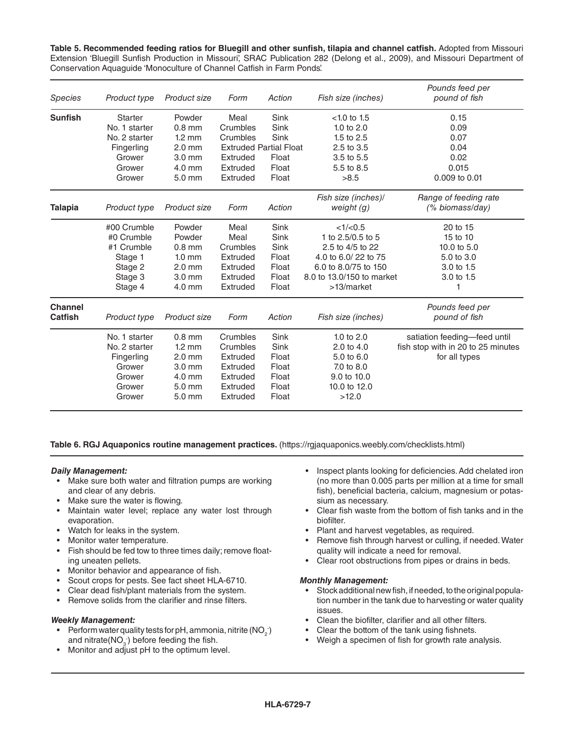**Table 5. Recommended feeding ratios for Bluegill and other sunfish, tilapia and channel catfish.** Adopted from Missouri Extension 'Bluegill Sunfish Production in Missouri', SRAC Publication 282 (Delong et al., 2009), and Missouri Department of Conservation Aquaguide 'Monoculture of Channel Catfish in Farm Ponds'.

| <b>Species</b> | Product type   | Product size     | Form     | Action                        | Fish size (inches)        | Pounds feed per<br>pound of fish   |
|----------------|----------------|------------------|----------|-------------------------------|---------------------------|------------------------------------|
| <b>Sunfish</b> | <b>Starter</b> | Powder           | Meal     | Sink                          | $< 1.0$ to 1.5            | 0.15                               |
|                | No. 1 starter  | $0.8$ mm         | Crumbles | Sink                          | 1.0 to $2.0$              | 0.09                               |
|                | No. 2 starter  | $1.2 \text{ mm}$ | Crumbles | Sink                          | 1.5 to 2.5                | 0.07                               |
|                | Fingerling     | $2.0$ mm         |          | <b>Extruded Partial Float</b> | 2.5 to 3.5                | 0.04                               |
|                | Grower         | $3.0$ mm         | Extruded | Float                         | 3.5 to 5.5                | 0.02                               |
|                | Grower         | 4.0 mm           | Extruded | Float                         | 5.5 to 8.5                | 0.015                              |
|                | Grower         | 5.0 mm           | Extruded | Float                         | >8.5                      | 0.009 to 0.01                      |
|                |                |                  |          |                               | Fish size (inches)/       | Range of feeding rate              |
| <b>Talapia</b> | Product type   | Product size     | Form     | Action                        | weight $(g)$              | (% biomass/day)                    |
|                | #00 Crumble    | Powder           | Meal     | Sink                          | <1/(0.5)                  | 20 to 15                           |
|                | #0 Crumble     | Powder           | Meal     | Sink                          | 1 to 2.5/0.5 to 5         | 15 to 10                           |
|                | #1 Crumble     | $0.8$ mm         | Crumbles | Sink                          | 2.5 to 4/5 to 22          | 10.0 to 5.0                        |
|                | Stage 1        | $1.0 \text{ mm}$ | Extruded | Float                         | 4.0 to 6.0/22 to 75       | 5.0 to 3.0                         |
|                | Stage 2        | $2.0$ mm         | Extruded | Float                         | 6.0 to 8.0/75 to 150      | 3.0 to 1.5                         |
|                | Stage 3        | 3.0 mm           | Extruded | Float                         | 8.0 to 13.0/150 to market | 3.0 to 1.5                         |
|                | Stage 4        | 4.0 mm           | Extruded | Float                         | >13/market                |                                    |
| <b>Channel</b> |                |                  |          |                               |                           | Pounds feed per                    |
| Catfish        | Product type   | Product size     | Form     | Action                        | Fish size (inches)        | pound of fish                      |
|                | No. 1 starter  | $0.8$ mm         | Crumbles | Sink                          | 1.0 to $2.0$              | satiation feeding-feed until       |
|                | No. 2 starter  | $1.2 \text{ mm}$ | Crumbles | Sink                          | 2.0 to 4.0                | fish stop with in 20 to 25 minutes |
|                | Fingerling     | $2.0$ mm         | Extruded | Float                         | 5.0 to 6.0                | for all types                      |
|                | Grower         | $3.0 \text{ mm}$ | Extruded | Float                         | 7.0 to 8.0                |                                    |
|                | Grower         | $4.0 \text{ mm}$ | Extruded | Float                         | 9.0 to 10.0               |                                    |
|                | Grower         | 5.0 mm           | Extruded | Float                         | 10.0 to 12.0              |                                    |
|                | Grower         | 5.0 mm           | Extruded | Float                         | >12.0                     |                                    |

**Table 6. RGJ Aquaponics routine management practices.** [\(https://rgjaquaponics.weebly.com/checklists.html](https://rgjaquaponics.weebly.com/checklists.html))

#### *Daily Management:*

- Make sure both water and filtration pumps are working and clear of any debris.
- Make sure the water is flowing.
- Maintain water level; replace any water lost through evaporation.
- Watch for leaks in the system.
- Monitor water temperature.
- Fish should be fed tow to three times daily; remove floating uneaten pellets.
- Monitor behavior and appearance of fish.
- Scout crops for pests. See fact sheet HLA-6710.
- Clear dead fish/plant materials from the system.
- Remove solids from the clarifier and rinse filters.

#### *Weekly Management:*

- Perform water quality tests for pH, ammonia, nitrite (NO $_2^{\cdot})$ and nitrate( $\mathsf{NO}_3$ ) before feeding the fish.
- Monitor and adjust pH to the optimum level.
- Inspect plants looking for deficiencies. Add chelated iron (no more than 0.005 parts per million at a time for small fish), beneficial bacteria, calcium, magnesium or potassium as necessary.
- Clear fish waste from the bottom of fish tanks and in the biofilter.
- Plant and harvest vegetables, as required.
- Remove fish through harvest or culling, if needed. Water quality will indicate a need for removal.
- Clear root obstructions from pipes or drains in beds.

#### *Monthly Management:*

- Stock additional new fish, if needed, to the original population number in the tank due to harvesting or water quality issues.
- Clean the biofilter, clarifier and all other filters.
- Clear the bottom of the tank using fishnets.
- Weigh a specimen of fish for growth rate analysis.